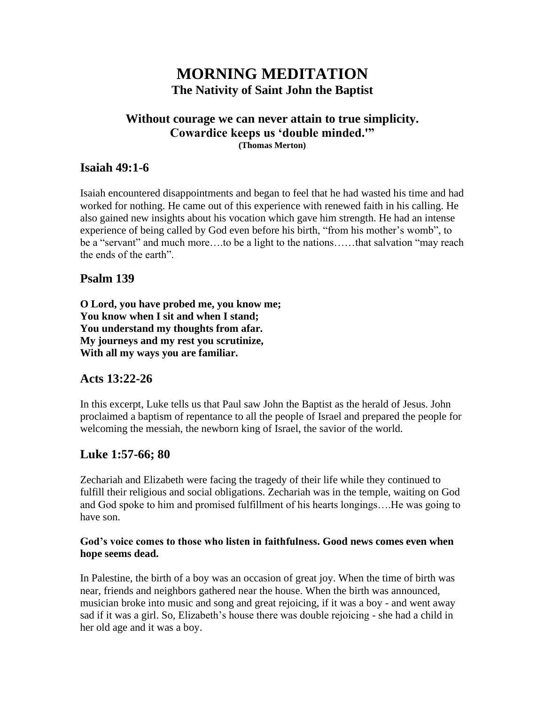# **MORNING MEDITATION The Nativity of Saint John the Baptist**

#### **Without courage we can never attain to true simplicity. Cowardice keeps us 'double minded.'" (Thomas Merton)**

# **Isaiah 49:1-6**

Isaiah encountered disappointments and began to feel that he had wasted his time and had worked for nothing. He came out of this experience with renewed faith in his calling. He also gained new insights about his vocation which gave him strength. He had an intense experience of being called by God even before his birth, "from his mother's womb", to be a "servant" and much more….to be a light to the nations……that salvation "may reach the ends of the earth".

# **Psalm 139**

**O Lord, you have probed me, you know me; You know when I sit and when I stand; You understand my thoughts from afar. My journeys and my rest you scrutinize, With all my ways you are familiar.**

# **Acts 13:22-26**

In this excerpt, Luke tells us that Paul saw John the Baptist as the herald of Jesus. John proclaimed a baptism of repentance to all the people of Israel and prepared the people for welcoming the messiah, the newborn king of Israel, the savior of the world.

# **Luke 1:57-66; 80**

Zechariah and Elizabeth were facing the tragedy of their life while they continued to fulfill their religious and social obligations. Zechariah was in the temple, waiting on God and God spoke to him and promised fulfillment of his hearts longings….He was going to have son.

### **God's voice comes to those who listen in faithfulness. Good news comes even when hope seems dead.**

In Palestine, the birth of a boy was an occasion of great joy. When the time of birth was near, friends and neighbors gathered near the house. When the birth was announced, musician broke into music and song and great rejoicing, if it was a boy - and went away sad if it was a girl. So, Elizabeth's house there was double rejoicing - she had a child in her old age and it was a boy.